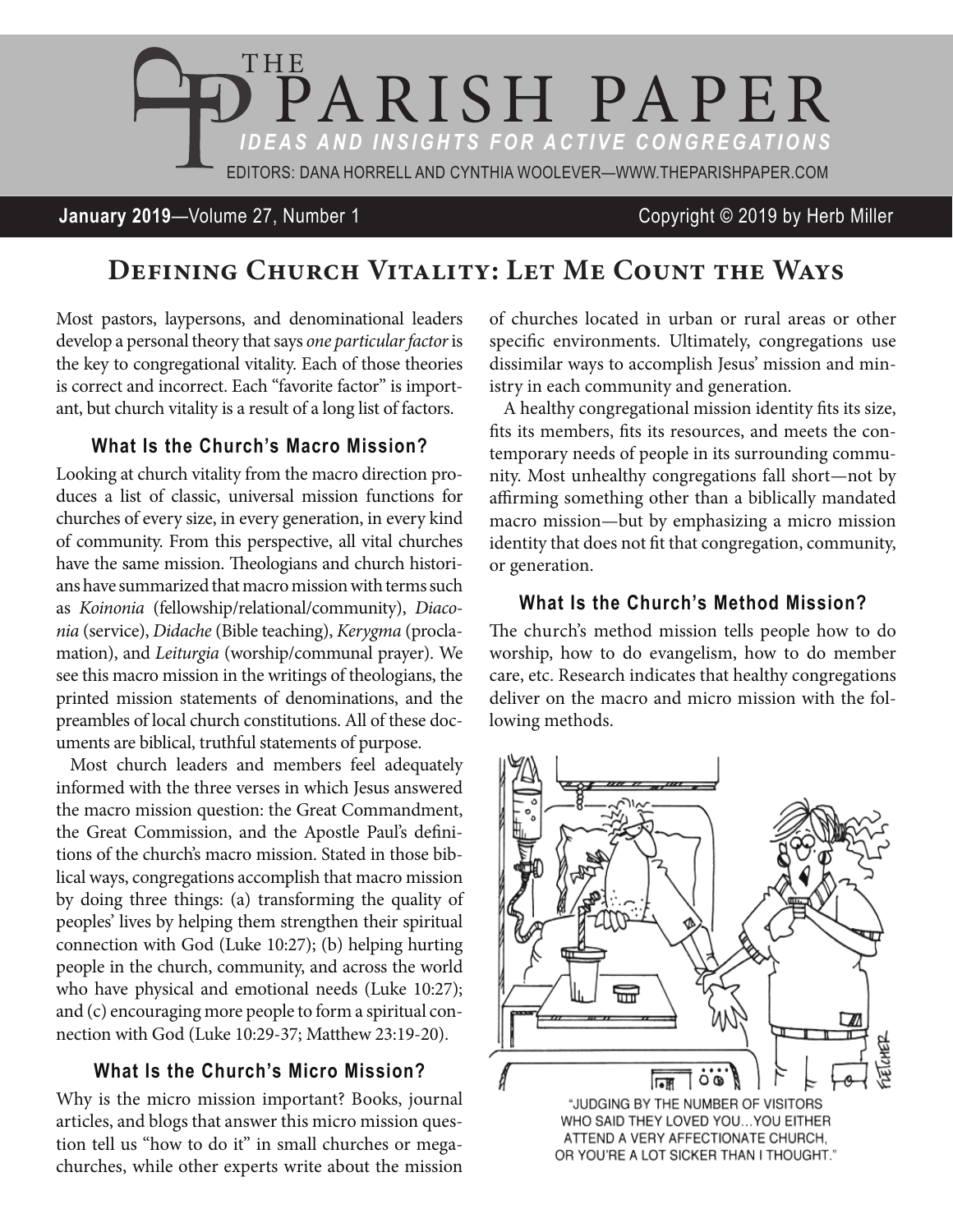

# **January 2019**—Volume 27, Number 1 Copyright © 2019 by Herb Miller

# **Defining Church Vitality: Let Me Count the Ways**

Most pastors, laypersons, and denominational leaders develop a personal theory that says *one particular factor* is the key to congregational vitality. Each of those theories is correct and incorrect. Each "favorite factor" is important, but church vitality is a result of a long list of factors.

### **What Is the Church's Macro Mission?**

Looking at church vitality from the macro direction produces a list of classic, universal mission functions for churches of every size, in every generation, in every kind of community. From this perspective, all vital churches have the same mission. Theologians and church historians have summarized that macro mission with terms such as *Koinonia* (fellowship/relational/community), *Diaconia* (service), *Didache* (Bible teaching), *Kerygma* (proclamation), and *Leiturgia* (worship/communal prayer). We see this macro mission in the writings of theologians, the printed mission statements of denominations, and the preambles of local church constitutions. All of these documents are biblical, truthful statements of purpose.

Most church leaders and members feel adequately informed with the three verses in which Jesus answered the macro mission question: the Great Commandment, the Great Commission, and the Apostle Paul's definitions of the church's macro mission. Stated in those biblical ways, congregations accomplish that macro mission by doing three things: (a) transforming the quality of peoples' lives by helping them strengthen their spiritual connection with God (Luke 10:27); (b) helping hurting people in the church, community, and across the world who have physical and emotional needs (Luke 10:27); and (c) encouraging more people to form a spiritual connection with God (Luke 10:29-37; Matthew 23:19-20).

#### **What Is the Church's Micro Mission?**

Why is the micro mission important? Books, journal articles, and blogs that answer this micro mission question tell us "how to do it" in small churches or megachurches, while other experts write about the mission

of churches located in urban or rural areas or other specific environments. Ultimately, congregations use dissimilar ways to accomplish Jesus' mission and ministry in each community and generation.

A healthy congregational mission identity fits its size, fits its members, fits its resources, and meets the contemporary needs of people in its surrounding community. Most unhealthy congregations fall short—not by affirming something other than a biblically mandated macro mission—but by emphasizing a micro mission identity that does not fit that congregation, community, or generation.

#### **What Is the Church's Method Mission?**

The church's method mission tells people how to do worship, how to do evangelism, how to do member care, etc. Research indicates that healthy congregations deliver on the macro and micro mission with the following methods.